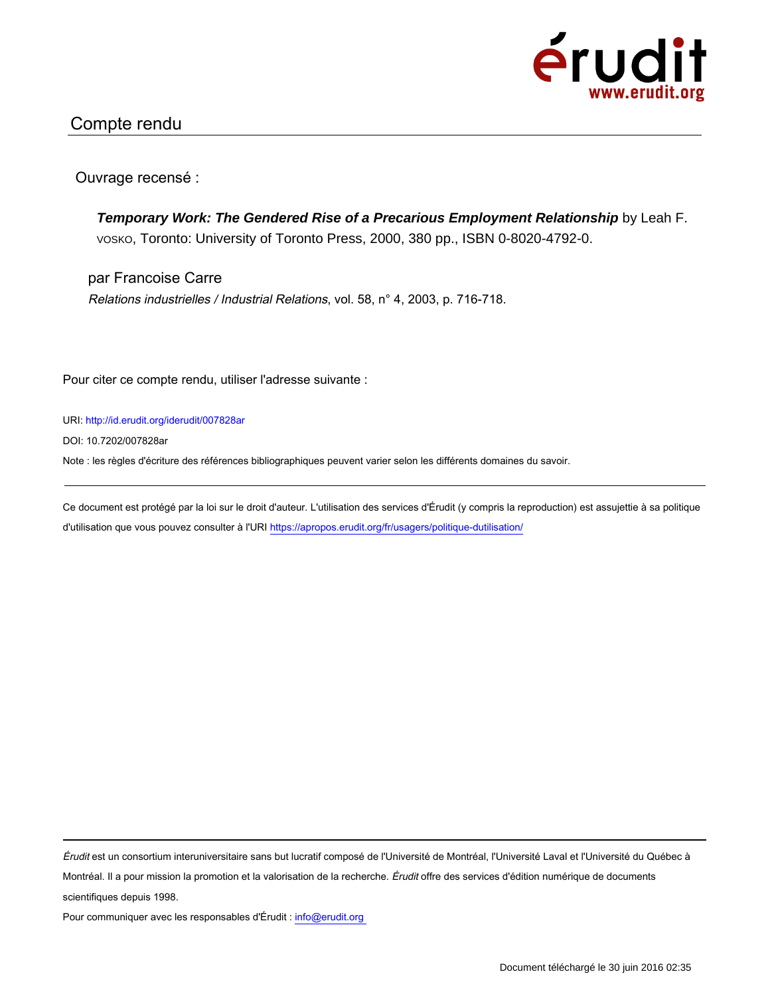

## Compte rendu

Ouvrage recensé :

**Temporary Work: The Gendered Rise of a Precarious Employment Relationship by Leah F.** VOSKO, Toronto: University of Toronto Press, 2000, 380 pp., ISBN 0-8020-4792-0.

par Francoise Carre Relations industrielles / Industrial Relations, vol. 58, n° 4, 2003, p. 716-718.

Pour citer ce compte rendu, utiliser l'adresse suivante :

URI: http://id.erudit.org/iderudit/007828ar

DOI: 10.7202/007828ar

Note : les règles d'écriture des références bibliographiques peuvent varier selon les différents domaines du savoir.

Ce document est protégé par la loi sur le droit d'auteur. L'utilisation des services d'Érudit (y compris la reproduction) est assujettie à sa politique d'utilisation que vous pouvez consulter à l'URI https://apropos.erudit.org/fr/usagers/politique-dutilisation/

Érudit est un consortium interuniversitaire sans but lucratif composé de l'Université de Montréal, l'Université Laval et l'Université du Québec à Montréal. Il a pour mission la promotion et la valorisation de la recherche. Érudit offre des services d'édition numérique de documents scientifiques depuis 1998.

Pour communiquer avec les responsables d'Érudit : info@erudit.org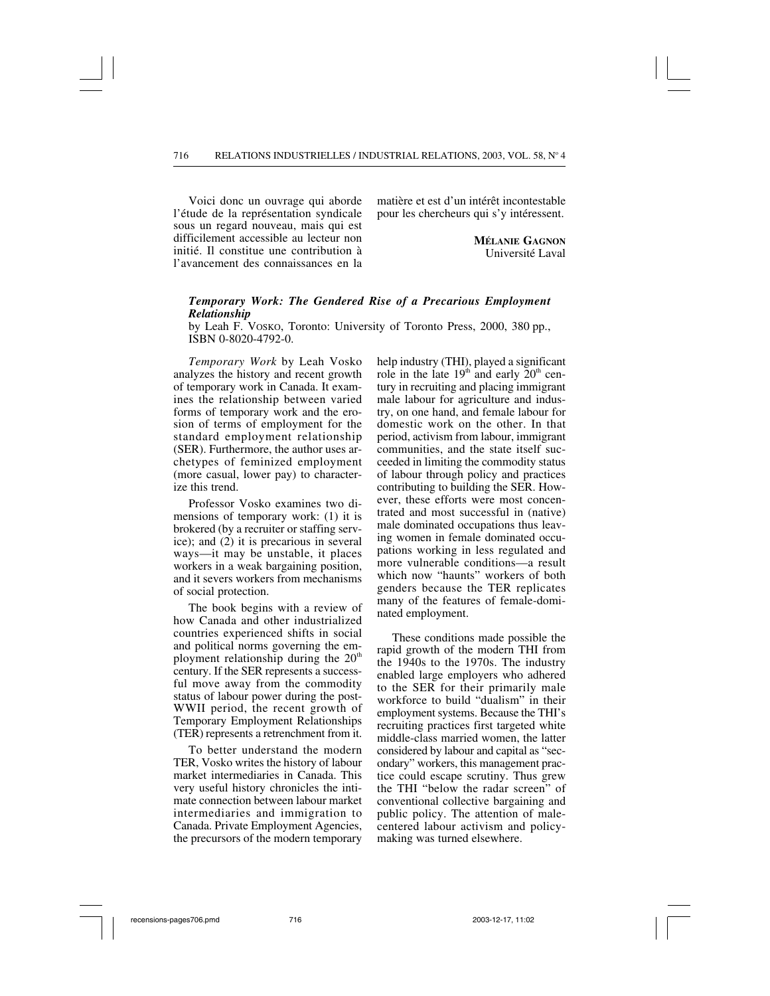Voici donc un ouvrage qui aborde l'étude de la représentation syndicale sous un regard nouveau, mais qui est difficilement accessible au lecteur non initié. Il constitue une contribution à l'avancement des connaissances en la

matière et est d'un intérêt incontestable pour les chercheurs qui s'y intéressent.

> **MÉLANIE GAGNON** Université Laval

## *Temporary Work: The Gendered Rise of a Precarious Employment Relationship*

by Leah F. VOSKO, Toronto: University of Toronto Press, 2000, 380 pp., ISBN 0-8020-4792-0.

*Temporary Work* by Leah Vosko analyzes the history and recent growth of temporary work in Canada. It examines the relationship between varied forms of temporary work and the erosion of terms of employment for the standard employment relationship (SER). Furthermore, the author uses archetypes of feminized employment (more casual, lower pay) to characterize this trend.

Professor Vosko examines two dimensions of temporary work: (1) it is brokered (by a recruiter or staffing service); and (2) it is precarious in several ways—it may be unstable, it places workers in a weak bargaining position, and it severs workers from mechanisms of social protection.

The book begins with a review of how Canada and other industrialized countries experienced shifts in social and political norms governing the employment relationship during the  $20<sup>th</sup>$ century. If the SER represents a successful move away from the commodity status of labour power during the post-WWII period, the recent growth of Temporary Employment Relationships (TER) represents a retrenchment from it.

To better understand the modern TER, Vosko writes the history of labour market intermediaries in Canada. This very useful history chronicles the intimate connection between labour market intermediaries and immigration to Canada. Private Employment Agencies, the precursors of the modern temporary help industry (THI), played a significant role in the late  $19<sup>th</sup>$  and early  $20<sup>th</sup>$  century in recruiting and placing immigrant male labour for agriculture and industry, on one hand, and female labour for domestic work on the other. In that period, activism from labour, immigrant communities, and the state itself succeeded in limiting the commodity status of labour through policy and practices contributing to building the SER. However, these efforts were most concentrated and most successful in (native) male dominated occupations thus leaving women in female dominated occupations working in less regulated and more vulnerable conditions—a result which now "haunts" workers of both genders because the TER replicates many of the features of female-dominated employment.

These conditions made possible the rapid growth of the modern THI from the 1940s to the 1970s. The industry enabled large employers who adhered to the SER for their primarily male workforce to build "dualism" in their employment systems. Because the THI's recruiting practices first targeted white middle-class married women, the latter considered by labour and capital as "secondary" workers, this management practice could escape scrutiny. Thus grew the THI "below the radar screen" of conventional collective bargaining and public policy. The attention of malecentered labour activism and policymaking was turned elsewhere.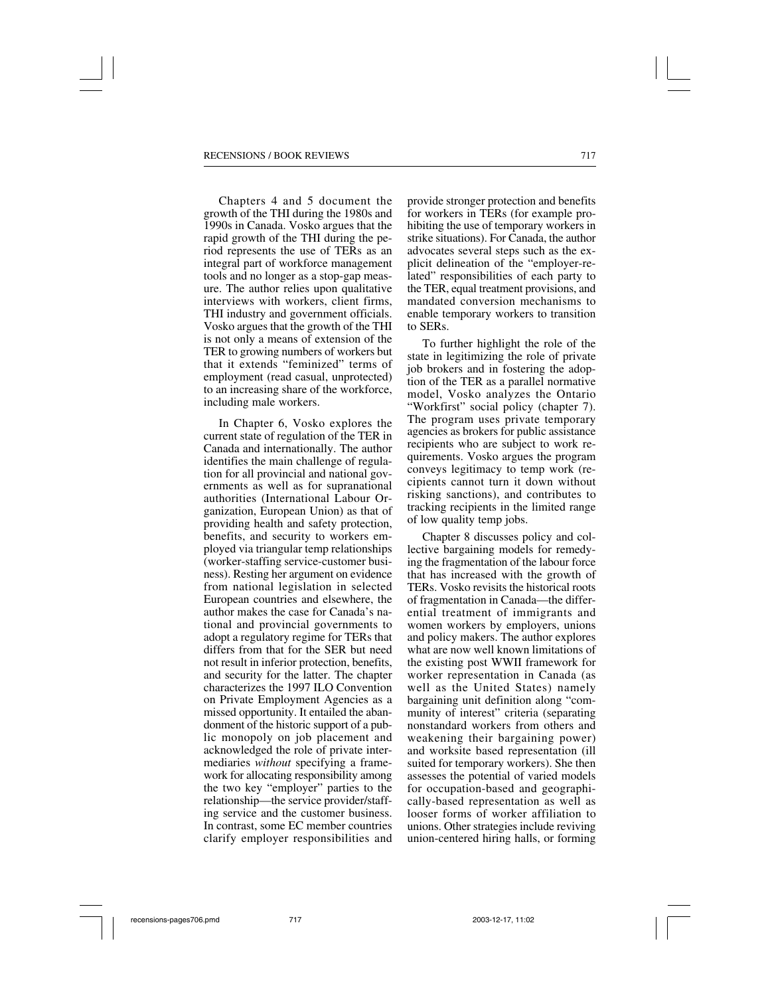Chapters 4 and 5 document the growth of the THI during the 1980s and 1990s in Canada. Vosko argues that the rapid growth of the THI during the period represents the use of TERs as an integral part of workforce management tools and no longer as a stop-gap measure. The author relies upon qualitative interviews with workers, client firms, THI industry and government officials. Vosko argues that the growth of the THI is not only a means of extension of the TER to growing numbers of workers but that it extends "feminized" terms of employment (read casual, unprotected) to an increasing share of the workforce, including male workers.

In Chapter 6, Vosko explores the current state of regulation of the TER in Canada and internationally. The author identifies the main challenge of regulation for all provincial and national governments as well as for supranational authorities (International Labour Organization, European Union) as that of providing health and safety protection, benefits, and security to workers employed via triangular temp relationships (worker-staffing service-customer business). Resting her argument on evidence from national legislation in selected European countries and elsewhere, the author makes the case for Canada's national and provincial governments to adopt a regulatory regime for TERs that differs from that for the SER but need not result in inferior protection, benefits, and security for the latter. The chapter characterizes the 1997 ILO Convention on Private Employment Agencies as a missed opportunity. It entailed the abandonment of the historic support of a public monopoly on job placement and acknowledged the role of private intermediaries *without* specifying a framework for allocating responsibility among the two key "employer" parties to the relationship—the service provider/staffing service and the customer business. In contrast, some EC member countries clarify employer responsibilities and

provide stronger protection and benefits for workers in TERs (for example prohibiting the use of temporary workers in strike situations). For Canada, the author advocates several steps such as the explicit delineation of the "employer-related" responsibilities of each party to the TER, equal treatment provisions, and mandated conversion mechanisms to enable temporary workers to transition to SERs.

To further highlight the role of the state in legitimizing the role of private job brokers and in fostering the adoption of the TER as a parallel normative model, Vosko analyzes the Ontario "Workfirst" social policy (chapter 7). The program uses private temporary agencies as brokers for public assistance recipients who are subject to work requirements. Vosko argues the program conveys legitimacy to temp work (recipients cannot turn it down without risking sanctions), and contributes to tracking recipients in the limited range of low quality temp jobs.

Chapter 8 discusses policy and collective bargaining models for remedying the fragmentation of the labour force that has increased with the growth of TERs. Vosko revisits the historical roots of fragmentation in Canada—the differential treatment of immigrants and women workers by employers, unions and policy makers. The author explores what are now well known limitations of the existing post WWII framework for worker representation in Canada (as well as the United States) namely bargaining unit definition along "community of interest" criteria (separating nonstandard workers from others and weakening their bargaining power) and worksite based representation (ill suited for temporary workers). She then assesses the potential of varied models for occupation-based and geographically-based representation as well as looser forms of worker affiliation to unions. Other strategies include reviving union-centered hiring halls, or forming